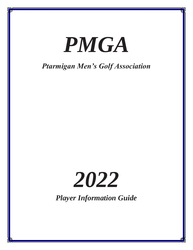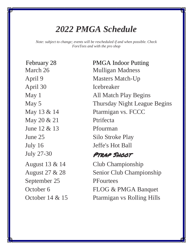# *2022 PMGA Schedule*

*Note: subject to change; events will be rescheduled if and when possible. Check ForeTees and with the pro shop*

April 30 Icebreaker May 20 & 21 Ptrifecta June  $12 \& 13$  Pfourman July 16 Jeffe's Hot Ball July 27-30 **PTRAP SHOOT** September 25 PFourtees

February 28 PMGA Indoor Putting March 26 Mulligan Madness April 9 Masters Match-Up May 1 **All Match Play Begins** May 5 Thursday Night League Begins May 13 & 14 Ptarmigan vs. FCCC June 25 Silo Stroke Play

August 13 & 14 Club Championship August 27 & 28 Senior Club Championship October 6 FLOG & PMGA Banquet October 14 & 15 Ptarmigan vs Rolling Hills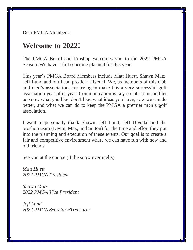Dear PMGA Members:

## **Welcome to 2022!**

The PMGA Board and Proshop welcomes you to the 2022 PMGA Season. We have a full schedule planned for this year.

This year's PMGA Board Members include Matt Huett, Shawn Matz, Jeff Lund and our head pro Jeff Ulvedal. We, as members of this club and men's association, are trying to make this a very successful golf association year after year. Communication is key so talk to us and let us know what you like, don't like, what ideas you have, how we can do better, and what we can do to keep the PMGA a premier men's golf association.

I want to personally thank Shawn, Jeff Lund, Jeff Ulvedal and the proshop team (Kevin, Max, and Sutton) for the time and effort they put into the planning and execution of these events. Our goal is to create a fair and competitive environment where we can have fun with new and old friends.

See you at the course (if the snow ever melts).

*Matt Huett 2022 PMGA President*

*Shawn Matz 2022 PMGA Vice President*

*Jeff Lund 2022 PMGA Secretary/Treasurer*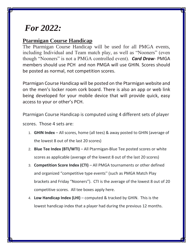# *For 2022:*

### **Ptarmigan Course Handicap**

The Ptarmigan Course Handicap will be used for all PMGA events, including Individual and Team match play, as well as "Nooners" (even though "Nooners" is not a PMGA controlled event). *Card Draw*- PMGA members should use PCH and non PMGA will use GHIN. Scores should be posted as normal, not competition scores.

Ptarmigan Course Handicap will be posted on the Ptarmigan website and on the men's locker room cork board. There is also an app or web link being developed for your mobile device that will provide quick, easy access to your or other's PCH.

Ptarmigan Course Handicap is computed using 4 different sets of player

scores. Those 4 sets are:

- 1. **GHIN Index** All scores, home (all tees) & away posted to GHIN (average of the lowest 8 out of the last 20 scores)
- 2. **Blue Tee Index (BTI/WTI)** All Ptarmigan-Blue Tee posted scores or white scores as applicable (average of the lowest 8 out of the last 20 scores)
- 3. **Competition Score Index (CTI)** All PMGA tournaments or other defined and organized "competitive type events'' (such as PMGA Match Play brackets and Friday "Nooners"). CTI is the average of the lowest 8 out of 20 competitive scores. All tee boxes apply here.
- 4. **Low Handicap Index (LHI)** computed & tracked by GHIN. This is the lowest handicap index that a player had during the previous 12 months.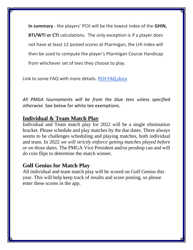**In summary** - the players' PCH will be the lowest index of the **GHIN, BTI/WTI or CTI** calculations. The only exception is if a player does not have at least 12 posted scores at Ptarmigan, the LHI index will then be used to compute the player's Ptarmigan Course Handicap from whichever set of tees they choose to play.

Link to some FAQ with more details. [PCH FAQ.docx](https://docs.google.com/document/u/0/d/1SD6gncv0lHHp8-oZg-OnORhp0PgWOLl1/edit)

*All PMGA tournaments will be from the blue tees unless specified otherwise.* See below for white tee exemptions.

### **Individual & Team Match Play**

Individual and Team match play for 2022 will be a single elimination bracket. Please schedule and play matches by the due dates. There always seems to be challenges scheduling and playing matches, both individual and team. In 2022 *we will strictly enforce getting matches played before or on those dates*. The PMGA Vice President and/or proshop can and will do coin flips to determine the match winner.

#### **Golf Genius for Match Play**

All individual and team match play will be scored on Golf Genius this year. This will help keep track of results and score posting, so please enter these scores in the app.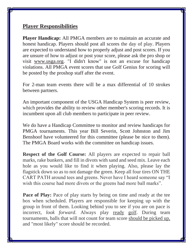### **Player Responsibilities**

**Player Handicap:** All PMGA members are to maintain an accurate and honest handicap. Players should post all scores the day of play. Players are expected to understand how to properly adjust and post scores. If you are unsure of how to adjust or post your score, please ask the pro shop or visit [www.usga.org.](http://www.usga.org/) "I didn't know" is not an excuse for handicap violations. All PMGA event scores that use Golf Genius for scoring will be posted by the proshop staff after the event.

For 2-man team events there will be a max differential of 10 strokes between partners.

An important component of the USGA Handicap System is peer review, which provides the ability to review other member's scoring records. It is incumbent upon all club members to participate in peer review.

We do have a Handicap Committee to monitor and review handicaps for PMGA tournaments. This year Bill Severin, Scott Johnston and Jim Benshoof have volunteered for this committee (please be nice to them). The PMGA Board works with the committee on handicap issues.

**Respect of the Golf Course:** All players are expected to repair ball marks, rake bunkers, and fill in divots with sand and seed mix. Leave each hole as you would like to find it when playing. Also, please lay the flagstick down so as to not damage the green. Keep all four tires ON THE CART PATH around tees and greens. Never have I heard someone say "I wish this course had more divots or the greens had more ball marks".

**Pace of Play:** Pace of play starts by being on time and ready at the tee box when scheduled. Players are responsible for keeping up with the group in front of them. Looking behind you to see if you are on pace is incorrect, *look forward*. Always play ready golf. During team tournaments, balls that will not count for team score should be picked up, and "most likely" score should be recorded.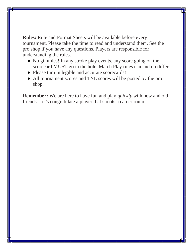**Rules:** Rule and Format Sheets will be available before every tournament. Please take the time to read and understand them. See the pro shop if you have any questions. Players are responsible for understanding the rules.

- No gimmies! In any stroke play events, any score going on the scorecard MUST go in the hole. Match Play rules can and do differ.
- Please turn in legible and accurate scorecards!
- All tournament scores and TNL scores will be posted by the pro shop.

**Remember:** We are here to have fun and play *quickly* with new and old friends. Let's congratulate a player that shoots a career round.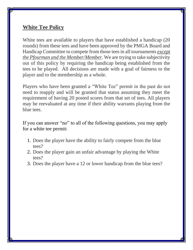### **White Tee Policy**

White tees are available to players that have established a handicap (20 rounds) from these tees and have been approved by the PMGA Board and Handicap Committee to compete from those tees in all tournaments *except the Pfourman and the Member/Member*. We are trying to take subjectivity out of this policy by requiring the handicap being established from the tees to be played. All decisions are made with a goal of fairness to the player and to the membership as a whole.

Players who have been granted a "White Tee" permit in the past do not need to reapply and will be granted that status assuming they meet the requirement of having 20 posted scores from that set of tees. All players may be reevaluated at any time if their ability warrants playing from the blue tees.

If you can answer "no" to all of the following questions, you may apply for a white tee permit:

- 1. Does the player have the ability to fairly compete from the blue tees?
- 2. Does the player gain an unfair advantage by playing the White tees?
- 3. Does the player have a 12 or lower handicap from the blue tees?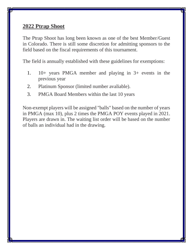#### **2022 Ptrap Shoot**

The Ptrap Shoot has long been known as one of the best Member/Guest in Colorado. There is still some discretion for admitting sponsors to the field based on the fiscal requirements of this tournament.

The field is annually established with these guidelines for exemptions:

- 1. 10+ years PMGA member and playing in 3+ events in the previous year
- 2. Platinum Sponsor (limited number avaliable).
- 3. PMGA Board Members within the last 10 years

Non-exempt players will be assigned "balls" based on the number of years in PMGA (max 10), plus 2 times the PMGA POY events played in 2021. Players are drawn in. The waiting list order will be based on the number of balls an individual had in the drawing.